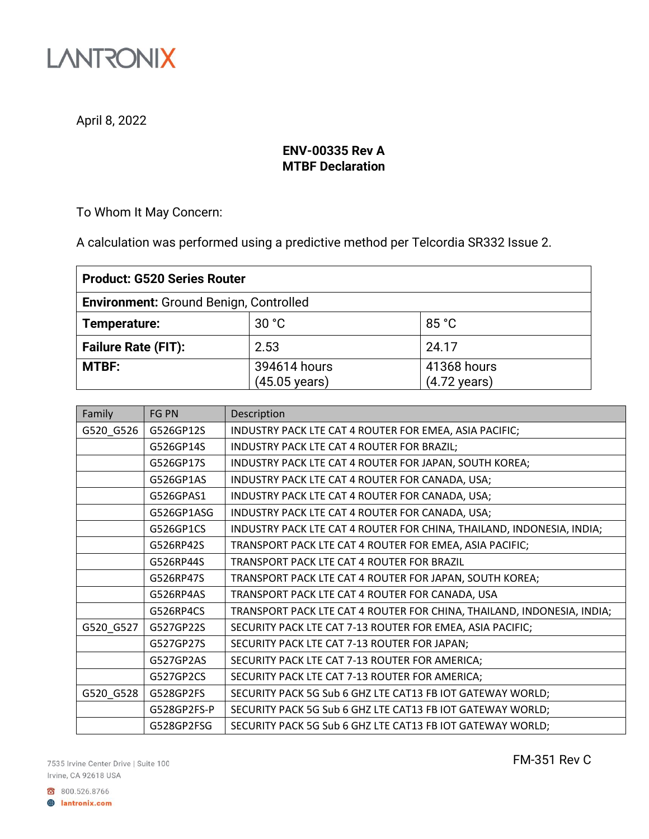

April 8, 2022

## **ENV-00335 Rev A MTBF Declaration**

To Whom It May Concern:

A calculation was performed using a predictive method per Telcordia SR332 Issue 2.

| <b>Product: G520 Series Router</b>            |                                         |                                       |  |
|-----------------------------------------------|-----------------------------------------|---------------------------------------|--|
| <b>Environment: Ground Benign, Controlled</b> |                                         |                                       |  |
| Temperature:                                  | 30 °C                                   | 85 °C                                 |  |
| <b>Failure Rate (FIT):</b>                    | 2.53                                    | 24.17                                 |  |
| <b>MTBF:</b>                                  | 394614 hours<br>$(45.05 \text{ years})$ | 41368 hours<br>$(4.72 \text{ years})$ |  |

| Family    | <b>FG PN</b> | Description                                                            |
|-----------|--------------|------------------------------------------------------------------------|
| G520_G526 | G526GP12S    | INDUSTRY PACK LTE CAT 4 ROUTER FOR EMEA, ASIA PACIFIC;                 |
|           | G526GP14S    | INDUSTRY PACK LTE CAT 4 ROUTER FOR BRAZIL;                             |
|           | G526GP17S    | INDUSTRY PACK LTE CAT 4 ROUTER FOR JAPAN, SOUTH KOREA;                 |
|           | G526GP1AS    | INDUSTRY PACK LTE CAT 4 ROUTER FOR CANADA, USA;                        |
|           | G526GPAS1    | INDUSTRY PACK LTE CAT 4 ROUTER FOR CANADA, USA;                        |
|           | G526GP1ASG   | INDUSTRY PACK LTE CAT 4 ROUTER FOR CANADA, USA;                        |
|           | G526GP1CS    | INDUSTRY PACK LTE CAT 4 ROUTER FOR CHINA, THAILAND, INDONESIA, INDIA;  |
|           | G526RP42S    | TRANSPORT PACK LTE CAT 4 ROUTER FOR EMEA, ASIA PACIFIC;                |
|           | G526RP44S    | TRANSPORT PACK LTE CAT 4 ROUTER FOR BRAZIL                             |
|           | G526RP47S    | TRANSPORT PACK LTE CAT 4 ROUTER FOR JAPAN, SOUTH KOREA;                |
|           | G526RP4AS    | TRANSPORT PACK LTE CAT 4 ROUTER FOR CANADA, USA                        |
|           | G526RP4CS    | TRANSPORT PACK LTE CAT 4 ROUTER FOR CHINA, THAILAND, INDONESIA, INDIA; |
| G520_G527 | G527GP22S    | SECURITY PACK LTE CAT 7-13 ROUTER FOR EMEA, ASIA PACIFIC;              |
|           | G527GP27S    | SECURITY PACK LTE CAT 7-13 ROUTER FOR JAPAN;                           |
|           | G527GP2AS    | SECURITY PACK LTE CAT 7-13 ROUTER FOR AMERICA;                         |
|           | G527GP2CS    | SECURITY PACK LTE CAT 7-13 ROUTER FOR AMERICA;                         |
| G520_G528 | G528GP2FS    | SECURITY PACK 5G Sub 6 GHZ LTE CAT13 FB IOT GATEWAY WORLD;             |
|           | G528GP2FS-P  | SECURITY PACK 5G Sub 6 GHZ LTE CAT13 FB IOT GATEWAY WORLD;             |
|           | G528GP2FSG   | SECURITY PACK 5G Sub 6 GHZ LTE CAT13 FB IOT GATEWAY WORLD;             |

7535 Irvine Center Drive | Suite 100 Irvine, CA 92618 USA

FM-351 Rev C

800.526.8766 **B** lantronix.com